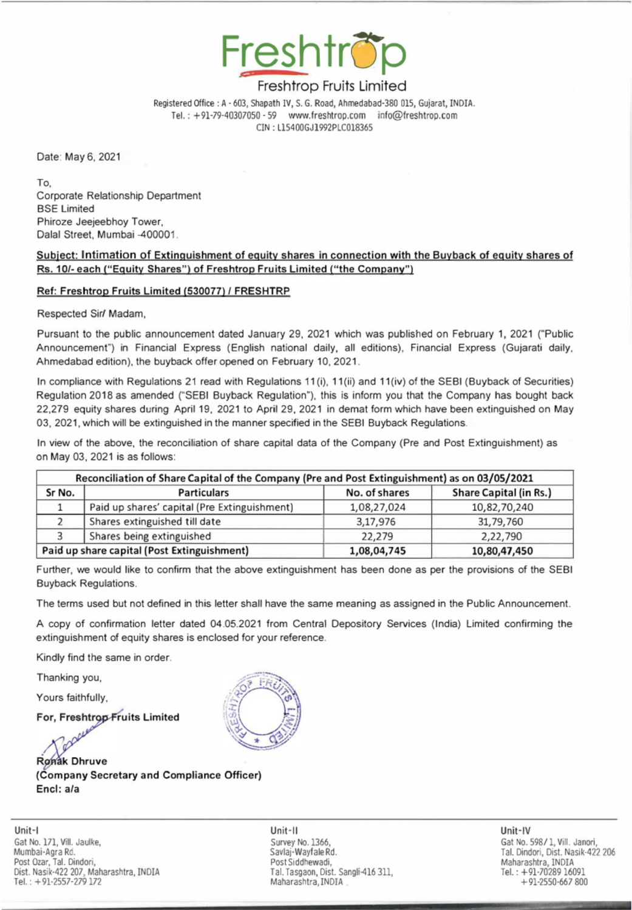

## Freshtrop Fruits Limited

### Subject: Intimation of Extinguishment of equity shares in connection with the Buyback of equity shares of Rs. 10/- each ("Equity Shares") of Freshtrop Fruits Limited ("the Company")

#### Ref: Freshtrop Fruits Limited (530077) / FRESHTRP

the contract of the contract of the contract of the contract of the contract of the contract of the contract of

In compliance with Regulations 21 read with Regulations 11(i), 11(ii) and 11(iv) of the SEBI (Buyback of Securities) Regulation 2018 as amended ("SEBI Buyback Regulation"), this is inform you that the Company has bought back 22,279 equity shares during April 19, 2021 to April 29, 2021 in demat form which have been extinguished on May 03, 2021, which will be extinguished in the manner specified in the SEBI Buyback Regulations. Freshtrand Megistered Office : A -603, Shapath IV, S.<br>
Freshtrand Office : A -603, Shapath IV, S.<br>
Tel. : +91-79-40307050 - 59 www.<br>
CIN : L15400<br>
Date: May 6, 2021<br>
To,<br>
Corporate Relationship Department<br>
Phiroze Jeejeebh Freshtrice: A -603, Shapath IV, S.<br>
Freshtrice: A -603, Shapath IV, S.<br>
Tel. : +91-79-40307050 - 59<br>
CIN : L15400<br>
CIN : L15400<br>
Date: May 6, 2021<br>
To,<br>
Date: May 6, 2021<br>
To,<br>
Date: Intinetion of Extinguishment of equity Freshhrrandor Registered Office : A - 603, Shapshi IV;<br>
Tel. : +91-79-40307050 - 59<br>
Tel. : +91-79-40307050 - 59<br>
CIN : L15400<br>
CIN : L15400<br>
CIN : L15400<br>
CIN : L15400<br>
To,<br>
Corporate Relationship Department<br>
BSE Limited<br> Freshhrt<br>
Freshhrt<br>
Feshhrt<br>
Tel.: +91-79-40307050 - 59<br>
Tel.: +91-79-40307050 - 59<br>
CIN: L15400<br>
CIN: L15400<br>
Tel.: +91-79-40307050 - 59<br>
CIN: L15400<br>
CIN: L15400<br>
Tel.: +91-79-40307050 - 59<br>
CIN: L15400<br>
CIN: L15400<br>
SEE

|                                                                                                                 | Registered Office: A - 603, Shapath IV, S. G. Road, Ahmedabad-380 015, Gujarat, INDIA.                                                                                                                                                                                                                                                                                                                                                                                                                                                                                                                     |                                                                                              | Freshtröp<br>Freshtrop Fruits Limited<br>Tel.: +91-79-40307050 - 59 www.freshtrop.com info@freshtrop.com |                                                                                                                         |  |  |  |  |
|-----------------------------------------------------------------------------------------------------------------|------------------------------------------------------------------------------------------------------------------------------------------------------------------------------------------------------------------------------------------------------------------------------------------------------------------------------------------------------------------------------------------------------------------------------------------------------------------------------------------------------------------------------------------------------------------------------------------------------------|----------------------------------------------------------------------------------------------|----------------------------------------------------------------------------------------------------------|-------------------------------------------------------------------------------------------------------------------------|--|--|--|--|
| Date: May 6, 2021<br>To.<br><b>BSE Limited</b>                                                                  | Corporate Relationship Department<br>Phiroze Jeejeebhoy Tower,<br>Dalal Street, Mumbai -400001.<br>Subject: Intimation of Extinguishment of equity shares in connection with the Buyback of equity shares of<br>Rs. 10/- each ("Equity Shares") of Freshtrop Fruits Limited ("the Company")                                                                                                                                                                                                                                                                                                                | CIN: L15400GJ1992PLC018365                                                                   |                                                                                                          |                                                                                                                         |  |  |  |  |
|                                                                                                                 | Ref: Freshtrop Fruits Limited (530077) / FRESHTRP                                                                                                                                                                                                                                                                                                                                                                                                                                                                                                                                                          |                                                                                              |                                                                                                          |                                                                                                                         |  |  |  |  |
|                                                                                                                 | Respected Sir/ Madam,<br>Pursuant to the public announcement dated January 29, 2021 which was published on February 1, 2021 ("Public<br>Announcement") in Financial Express (English national daily, all editions), Financial Express (Gujarati daily,<br>Ahmedabad edition), the buyback offer opened on February 10, 2021.                                                                                                                                                                                                                                                                               |                                                                                              |                                                                                                          |                                                                                                                         |  |  |  |  |
|                                                                                                                 | In compliance with Regulations 21 read with Regulations 11(i), 11(ii) and 11(iv) of the SEBI (Buyback of Securities)<br>Regulation 2018 as amended ("SEBI Buyback Regulation"), this is inform you that the Company has bought back<br>22,279 equity shares during April 19, 2021 to April 29, 2021 in demat form which have been extinguished on May<br>03, 2021, which will be extinguished in the manner specified in the SEBI Buyback Regulations.<br>In view of the above, the reconciliation of share capital data of the Company (Pre and Post Extinguishment) as<br>on May 03, 2021 is as follows: |                                                                                              |                                                                                                          |                                                                                                                         |  |  |  |  |
| Reconciliation of Share Capital of the Company (Pre and Post Extinguishment) as on 03/05/2021                   |                                                                                                                                                                                                                                                                                                                                                                                                                                                                                                                                                                                                            |                                                                                              |                                                                                                          |                                                                                                                         |  |  |  |  |
| Sr No.                                                                                                          | <b>Particulars</b>                                                                                                                                                                                                                                                                                                                                                                                                                                                                                                                                                                                         |                                                                                              | No. of shares                                                                                            | <b>Share Capital (in Rs.)</b>                                                                                           |  |  |  |  |
| 1                                                                                                               | Paid up shares' capital (Pre Extinguishment)                                                                                                                                                                                                                                                                                                                                                                                                                                                                                                                                                               |                                                                                              | 1,08,27,024                                                                                              | 10,82,70,240                                                                                                            |  |  |  |  |
| 2                                                                                                               | Shares extinguished till date                                                                                                                                                                                                                                                                                                                                                                                                                                                                                                                                                                              |                                                                                              | 3,17,976                                                                                                 | 31,79,760                                                                                                               |  |  |  |  |
| 3                                                                                                               | Shares being extinguished                                                                                                                                                                                                                                                                                                                                                                                                                                                                                                                                                                                  |                                                                                              | 22,279                                                                                                   | 2,22,790                                                                                                                |  |  |  |  |
|                                                                                                                 | Paid up share capital (Post Extinguishment)                                                                                                                                                                                                                                                                                                                                                                                                                                                                                                                                                                |                                                                                              | 1,08,04,745                                                                                              | 10,80,47,450                                                                                                            |  |  |  |  |
|                                                                                                                 | Further, we would like to confirm that the above extinguishment has been done as per the provisions of the SEBI<br><b>Buyback Regulations.</b><br>The terms used but not defined in this letter shall have the same meaning as assigned in the Public Announcement.                                                                                                                                                                                                                                                                                                                                        |                                                                                              |                                                                                                          |                                                                                                                         |  |  |  |  |
|                                                                                                                 | A copy of confirmation letter dated 04.05.2021 from Central Depository Services (India) Limited confirming the<br>extinguishment of equity shares is enclosed for your reference.                                                                                                                                                                                                                                                                                                                                                                                                                          |                                                                                              |                                                                                                          |                                                                                                                         |  |  |  |  |
| Kindly find the same in order.                                                                                  |                                                                                                                                                                                                                                                                                                                                                                                                                                                                                                                                                                                                            |                                                                                              |                                                                                                          |                                                                                                                         |  |  |  |  |
| Thanking you,                                                                                                   |                                                                                                                                                                                                                                                                                                                                                                                                                                                                                                                                                                                                            |                                                                                              |                                                                                                          |                                                                                                                         |  |  |  |  |
| Yours faithfully,                                                                                               |                                                                                                                                                                                                                                                                                                                                                                                                                                                                                                                                                                                                            |                                                                                              |                                                                                                          |                                                                                                                         |  |  |  |  |
|                                                                                                                 | For, Freshtrop Fruits Limited                                                                                                                                                                                                                                                                                                                                                                                                                                                                                                                                                                              |                                                                                              |                                                                                                          |                                                                                                                         |  |  |  |  |
| <b>Ronak Dhruve</b><br>Encl: a/a                                                                                | (Company Secretary and Compliance Officer)                                                                                                                                                                                                                                                                                                                                                                                                                                                                                                                                                                 |                                                                                              |                                                                                                          |                                                                                                                         |  |  |  |  |
| Unit-I<br>Gat No. 171, Vill. Jaulke,<br>Mumbai-Agra Rd.<br>Post Ozar, Tal. Dindori,<br>Tel.: $+91-2557-279$ 172 | Dist. Nasik-422 207, Maharashtra, INDIA                                                                                                                                                                                                                                                                                                                                                                                                                                                                                                                                                                    | Unit-II<br>Survey No. 1366,<br>Savlaj-Wayfale Rd.<br>Post Siddhewadi,<br>Maharashtra, INDIA. | Tal. Tasgaon, Dist. Sangli-416 311,                                                                      | Unit-IV<br>Gat No. 598/1, Vill.<br>Tal. Dindori, Dist. Na<br>Maharashtra, INDIA<br>Tel.: +91-70289 16<br>$+91-2550-667$ |  |  |  |  |



Unit-I Unit-ll Unit-IV Gat No. 171, Vill. Jaulke, Survey No. 1366, Survey No. 1366, Gat No. 598/1, Vill. Janori, Mumbai-Agra Ra. Savlaj-Wayfale Rd. Tal. Dindori, Dist. Nasik-422 206 Post Oiar, Tal. Dindori, Novimber 2008, 2009, 2009, 2009, 2009, 2009, 2009, 2009, 2009, 2009, 2009, 2009, 2009, 2009, 2009, 2009, 2009, 2009, 2009, 2009, 2009, 2009, 2009, 2009, 2009, 2009, 2009, 2009, 2009, 2009, 2009, 20 Dist. Nasik-422 207, Maharashtra, INDIA Tal. Tasgaon, Dist. Sangli-416 311, Tel. : +91-70289 16091 Tel. : +91-2557-279 172 Maharashtra, INDIA +91-2550-667 800